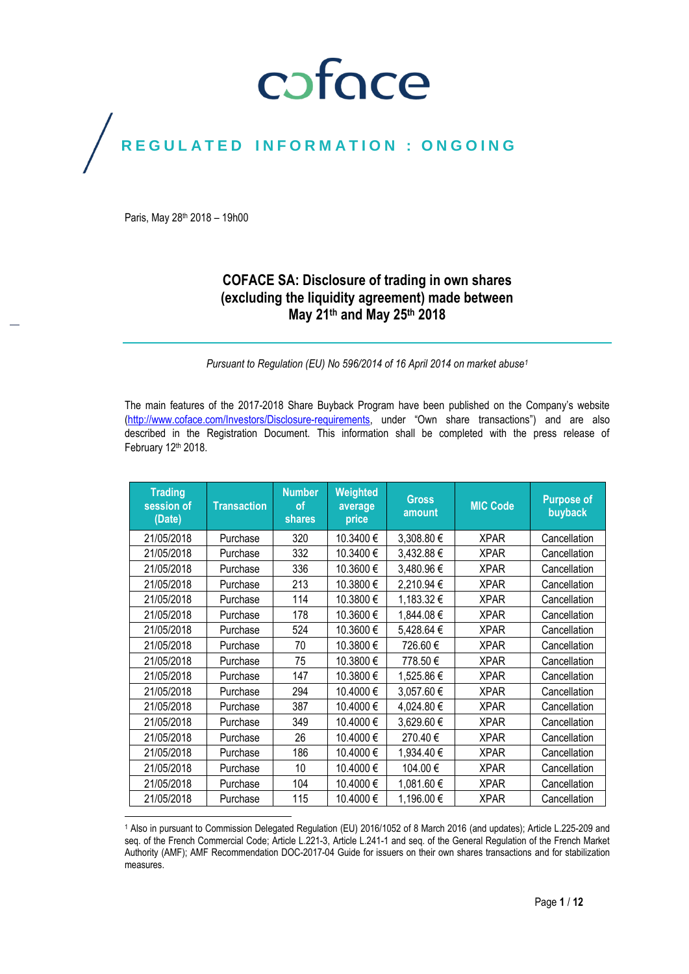### coface

### REGULATED INFORMATION : ONGOING

Paris, May 28 th 2018 – 19h00

 $\overline{\phantom{a}}$ 

### **COFACE SA: Disclosure of trading in own shares (excluding the liquidity agreement) made between May 21th and May 25th 2018**

*Pursuant to Regulation (EU) No 596/2014 of 16 April 2014 on market abuse<sup>1</sup>*

The main features of the 2017-2018 Share Buyback Program have been published on the Company's website [\(http://www.coface.com/Investors/Disclosure-requirements](http://www.coface.com/Investors/Disclosure-requirements), under "Own share transactions") and are also described in the Registration Document. This information shall be completed with the press release of February 12th 2018.

| <b>Trading</b><br>session of<br>(Date) | <b>Transaction</b> | <b>Number</b><br><b>of</b><br><b>shares</b> | Weighted<br>average<br>price | <b>Gross</b><br>amount | <b>MIC Code</b> | <b>Purpose of</b><br>buyback |
|----------------------------------------|--------------------|---------------------------------------------|------------------------------|------------------------|-----------------|------------------------------|
| 21/05/2018                             | Purchase           | 320                                         | 10.3400€                     | 3,308.80 €             | <b>XPAR</b>     | Cancellation                 |
| 21/05/2018                             | Purchase           | 332                                         | 10.3400€                     | 3,432.88 €             | <b>XPAR</b>     | Cancellation                 |
| 21/05/2018                             | Purchase           | 336                                         | 10.3600€                     | 3,480.96€              | <b>XPAR</b>     | Cancellation                 |
| 21/05/2018                             | Purchase           | 213                                         | 10.3800€                     | 2,210.94 €             | <b>XPAR</b>     | Cancellation                 |
| 21/05/2018                             | Purchase           | 114                                         | 10.3800€                     | 1,183.32 €             | <b>XPAR</b>     | Cancellation                 |
| 21/05/2018                             | Purchase           | 178                                         | 10.3600€                     | 1,844.08€              | <b>XPAR</b>     | Cancellation                 |
| 21/05/2018                             | Purchase           | 524                                         | 10.3600€                     | 5,428.64 €             | <b>XPAR</b>     | Cancellation                 |
| 21/05/2018                             | Purchase           | 70                                          | 10.3800€                     | 726.60€                | <b>XPAR</b>     | Cancellation                 |
| 21/05/2018                             | Purchase           | 75                                          | 10.3800€                     | 778.50€                | <b>XPAR</b>     | Cancellation                 |
| 21/05/2018                             | Purchase           | 147                                         | 10.3800€                     | 1,525.86 €             | <b>XPAR</b>     | Cancellation                 |
| 21/05/2018                             | Purchase           | 294                                         | 10.4000€                     | 3,057.60 €             | <b>XPAR</b>     | Cancellation                 |
| 21/05/2018                             | Purchase           | 387                                         | 10.4000€                     | 4,024.80 €             | <b>XPAR</b>     | Cancellation                 |
| 21/05/2018                             | Purchase           | 349                                         | 10.4000€                     | 3,629.60 €             | <b>XPAR</b>     | Cancellation                 |
| 21/05/2018                             | Purchase           | 26                                          | 10.4000€                     | 270.40€                | <b>XPAR</b>     | Cancellation                 |
| 21/05/2018                             | Purchase           | 186                                         | 10.4000€                     | 1,934.40 €             | <b>XPAR</b>     | Cancellation                 |
| 21/05/2018                             | Purchase           | 10                                          | 10.4000€                     | 104.00€                | <b>XPAR</b>     | Cancellation                 |
| 21/05/2018                             | Purchase           | 104                                         | 10.4000€                     | 1,081.60 €             | <b>XPAR</b>     | Cancellation                 |
| 21/05/2018                             | Purchase           | 115                                         | 10.4000€                     | 1,196.00 €             | <b>XPAR</b>     | Cancellation                 |

<sup>1</sup> Also in pursuant to Commission Delegated Regulation (EU) 2016/1052 of 8 March 2016 (and updates); Article L.225-209 and seq. of the French Commercial Code; Article L.221-3, Article L.241-1 and seq. of the General Regulation of the French Market Authority (AMF); AMF Recommendation DOC-2017-04 Guide for issuers on their own shares transactions and for stabilization measures.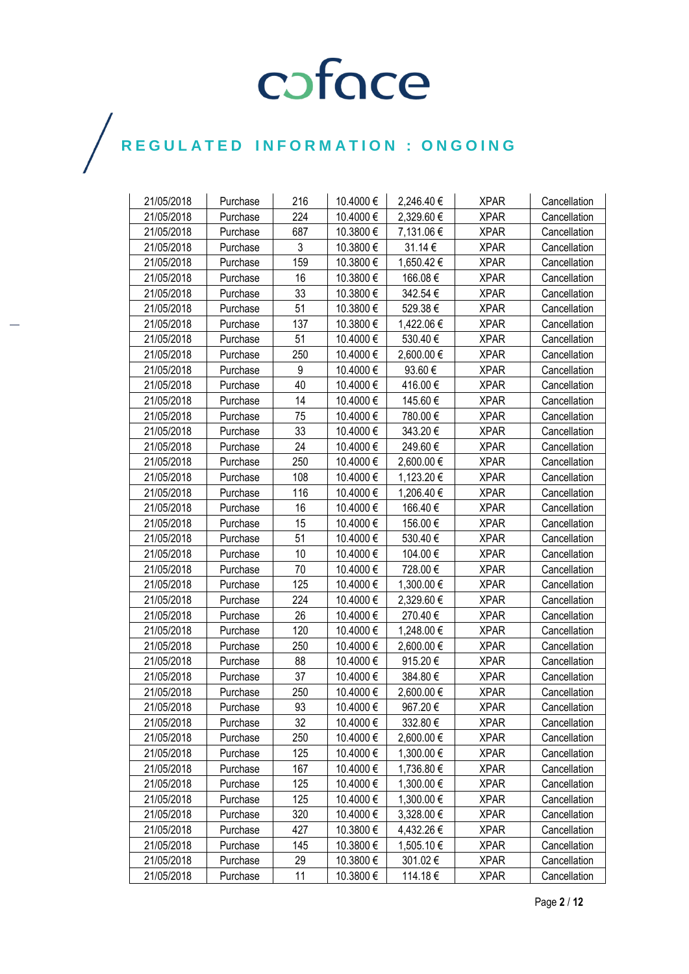| 21/05/2018 | Purchase | 216 | 10.4000 € | 2,246.40 € | <b>XPAR</b> | Cancellation |
|------------|----------|-----|-----------|------------|-------------|--------------|
| 21/05/2018 | Purchase | 224 | 10.4000€  | 2,329.60 € | <b>XPAR</b> | Cancellation |
| 21/05/2018 | Purchase | 687 | 10.3800€  | 7,131.06 € | <b>XPAR</b> | Cancellation |
| 21/05/2018 | Purchase | 3   | 10.3800 € | 31.14 €    | <b>XPAR</b> | Cancellation |
| 21/05/2018 | Purchase | 159 | 10.3800€  | 1,650.42 € | <b>XPAR</b> | Cancellation |
| 21/05/2018 | Purchase | 16  | 10.3800€  | 166.08€    | <b>XPAR</b> | Cancellation |
| 21/05/2018 | Purchase | 33  | 10.3800€  | 342.54€    | <b>XPAR</b> | Cancellation |
| 21/05/2018 | Purchase | 51  | 10.3800 € | 529.38€    | <b>XPAR</b> | Cancellation |
| 21/05/2018 | Purchase | 137 | 10.3800 € | 1,422.06 € | <b>XPAR</b> | Cancellation |
| 21/05/2018 | Purchase | 51  | 10.4000€  | 530.40€    | <b>XPAR</b> | Cancellation |
| 21/05/2018 | Purchase | 250 | 10.4000€  | 2,600.00 € | <b>XPAR</b> | Cancellation |
| 21/05/2018 | Purchase | 9   | 10.4000 € | 93.60€     | <b>XPAR</b> | Cancellation |
| 21/05/2018 | Purchase | 40  | 10.4000 € | 416.00€    | <b>XPAR</b> | Cancellation |
| 21/05/2018 | Purchase | 14  | 10.4000€  | 145.60 €   | <b>XPAR</b> | Cancellation |
| 21/05/2018 | Purchase | 75  | 10.4000€  | 780.00€    | <b>XPAR</b> | Cancellation |
| 21/05/2018 | Purchase | 33  | 10.4000 € | 343.20€    | <b>XPAR</b> | Cancellation |
| 21/05/2018 | Purchase | 24  | 10.4000 € | 249.60€    | <b>XPAR</b> | Cancellation |
| 21/05/2018 | Purchase | 250 | 10.4000 € | 2,600.00 € | <b>XPAR</b> | Cancellation |
| 21/05/2018 | Purchase | 108 | 10.4000€  | 1,123.20 € | <b>XPAR</b> | Cancellation |
| 21/05/2018 | Purchase | 116 | 10.4000€  | 1,206.40 € | <b>XPAR</b> | Cancellation |
| 21/05/2018 | Purchase | 16  | 10.4000€  | 166.40€    | <b>XPAR</b> | Cancellation |
| 21/05/2018 | Purchase | 15  | 10.4000€  | 156.00€    | <b>XPAR</b> | Cancellation |
| 21/05/2018 | Purchase | 51  | 10.4000 € | 530.40€    | <b>XPAR</b> | Cancellation |
| 21/05/2018 | Purchase | 10  | 10.4000€  | 104.00 €   | <b>XPAR</b> | Cancellation |
| 21/05/2018 | Purchase | 70  | 10.4000€  | 728.00€    | <b>XPAR</b> | Cancellation |
| 21/05/2018 | Purchase | 125 | 10.4000€  | 1,300.00 € | <b>XPAR</b> | Cancellation |
| 21/05/2018 | Purchase | 224 | 10.4000 € | 2,329.60 € | <b>XPAR</b> | Cancellation |
| 21/05/2018 | Purchase | 26  | 10.4000 € | 270.40 €   | <b>XPAR</b> | Cancellation |
| 21/05/2018 | Purchase | 120 | 10.4000€  | 1,248.00 € | <b>XPAR</b> | Cancellation |
| 21/05/2018 | Purchase | 250 | 10.4000 € | 2,600.00 € | <b>XPAR</b> | Cancellation |
| 21/05/2018 | Purchase | 88  | 10.4000 € | 915.20€    | <b>XPAR</b> | Cancellation |
| 21/05/2018 | Purchase | 37  | 10.4000 € | 384.80€    | <b>XPAR</b> | Cancellation |
| 21/05/2018 | Purchase | 250 | 10.4000€  | 2,600.00€  | <b>XPAR</b> | Cancellation |
| 21/05/2018 | Purchase | 93  | 10.4000€  | 967.20€    | <b>XPAR</b> | Cancellation |
| 21/05/2018 | Purchase | 32  | 10.4000 € | 332.80 €   | <b>XPAR</b> | Cancellation |
| 21/05/2018 | Purchase | 250 | 10.4000€  | 2,600.00 € | <b>XPAR</b> | Cancellation |
| 21/05/2018 | Purchase | 125 | 10.4000 € | 1,300.00 € | <b>XPAR</b> | Cancellation |
| 21/05/2018 | Purchase | 167 | 10.4000 € | 1,736.80 € | <b>XPAR</b> | Cancellation |
| 21/05/2018 | Purchase | 125 | 10.4000€  | 1,300.00 € | <b>XPAR</b> | Cancellation |
| 21/05/2018 | Purchase | 125 | 10.4000 € | 1,300.00 € | <b>XPAR</b> | Cancellation |
| 21/05/2018 | Purchase | 320 | 10.4000 € | 3,328.00 € | <b>XPAR</b> | Cancellation |
| 21/05/2018 | Purchase | 427 | 10.3800€  | 4,432.26 € | <b>XPAR</b> | Cancellation |
| 21/05/2018 | Purchase | 145 | 10.3800€  | 1,505.10 € | <b>XPAR</b> | Cancellation |
| 21/05/2018 | Purchase | 29  | 10.3800 € | 301.02€    | <b>XPAR</b> | Cancellation |
| 21/05/2018 | Purchase | 11  | 10.3800€  | 114.18€    | <b>XPAR</b> | Cancellation |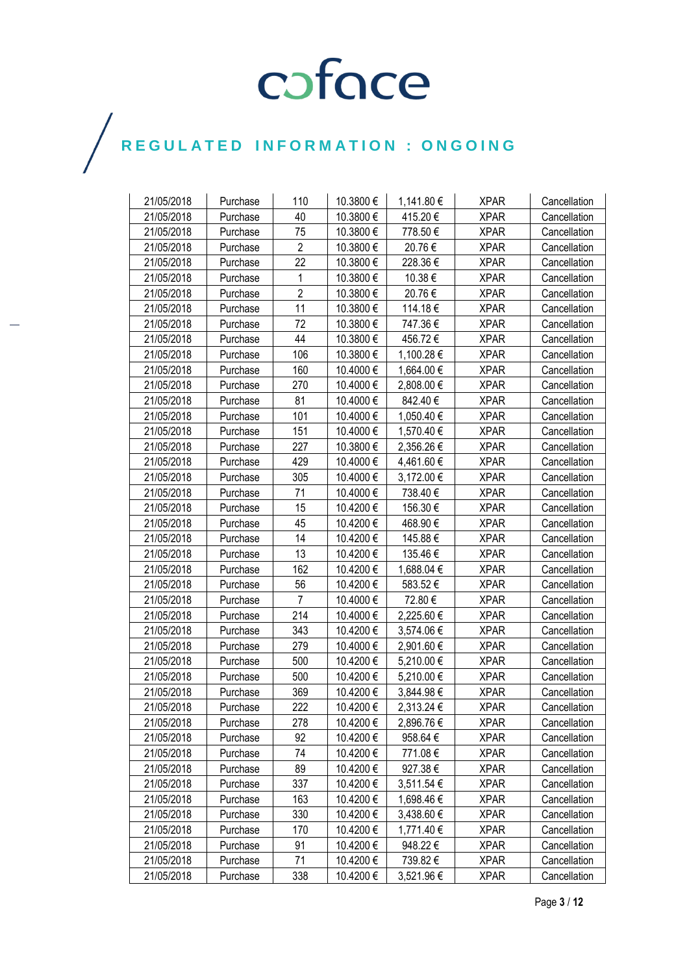| 21/05/2018 | Purchase | 110            | 10.3800€  | 1,141.80 € | <b>XPAR</b> | Cancellation |
|------------|----------|----------------|-----------|------------|-------------|--------------|
| 21/05/2018 | Purchase | 40             | 10.3800€  | 415.20€    | <b>XPAR</b> | Cancellation |
| 21/05/2018 | Purchase | 75             | 10.3800€  | 778.50€    | <b>XPAR</b> | Cancellation |
| 21/05/2018 | Purchase | $\overline{2}$ | 10.3800€  | 20.76€     | <b>XPAR</b> | Cancellation |
| 21/05/2018 | Purchase | 22             | 10.3800€  | 228.36€    | <b>XPAR</b> | Cancellation |
| 21/05/2018 | Purchase | 1              | 10.3800€  | 10.38 €    | <b>XPAR</b> | Cancellation |
| 21/05/2018 | Purchase | $\overline{2}$ | 10.3800€  | 20.76€     | <b>XPAR</b> | Cancellation |
| 21/05/2018 | Purchase | 11             | 10.3800 € | 114.18€    | <b>XPAR</b> | Cancellation |
| 21/05/2018 | Purchase | 72             | 10.3800€  | 747.36€    | <b>XPAR</b> | Cancellation |
| 21/05/2018 | Purchase | 44             | 10.3800€  | 456.72€    | <b>XPAR</b> | Cancellation |
| 21/05/2018 | Purchase | 106            | 10.3800€  | 1,100.28 € | <b>XPAR</b> | Cancellation |
| 21/05/2018 | Purchase | 160            | 10.4000 € | 1,664.00 € | <b>XPAR</b> | Cancellation |
| 21/05/2018 | Purchase | 270            | 10.4000 € | 2,808.00 € | <b>XPAR</b> | Cancellation |
| 21/05/2018 | Purchase | 81             | 10.4000€  | 842.40€    | <b>XPAR</b> | Cancellation |
| 21/05/2018 | Purchase | 101            | 10.4000€  | 1,050.40 € | <b>XPAR</b> | Cancellation |
| 21/05/2018 | Purchase | 151            | 10.4000€  | 1,570.40 € | <b>XPAR</b> | Cancellation |
| 21/05/2018 | Purchase | 227            | 10.3800€  | 2,356.26 € | <b>XPAR</b> | Cancellation |
| 21/05/2018 | Purchase | 429            | 10.4000€  | 4,461.60 € | <b>XPAR</b> | Cancellation |
| 21/05/2018 | Purchase | 305            | 10.4000€  | 3,172.00 € | <b>XPAR</b> | Cancellation |
| 21/05/2018 | Purchase | 71             | 10.4000 € | 738.40€    | <b>XPAR</b> | Cancellation |
| 21/05/2018 | Purchase | 15             | 10.4200€  | 156.30€    | <b>XPAR</b> | Cancellation |
| 21/05/2018 | Purchase | 45             | 10.4200 € | 468.90€    | <b>XPAR</b> | Cancellation |
| 21/05/2018 | Purchase | 14             | 10.4200€  | 145.88€    | <b>XPAR</b> | Cancellation |
| 21/05/2018 | Purchase | 13             | 10.4200€  | 135.46 €   | <b>XPAR</b> | Cancellation |
| 21/05/2018 | Purchase | 162            | 10.4200 € | 1,688.04 € | <b>XPAR</b> | Cancellation |
| 21/05/2018 | Purchase | 56             | 10.4200 € | 583.52€    | <b>XPAR</b> | Cancellation |
| 21/05/2018 | Purchase | $\overline{7}$ | 10.4000€  | 72.80€     | <b>XPAR</b> | Cancellation |
| 21/05/2018 | Purchase | 214            | 10.4000€  | 2,225.60 € | <b>XPAR</b> | Cancellation |
| 21/05/2018 | Purchase | 343            | 10.4200€  | 3,574.06 € | <b>XPAR</b> | Cancellation |
| 21/05/2018 | Purchase | 279            | 10.4000€  | 2,901.60 € | <b>XPAR</b> | Cancellation |
| 21/05/2018 | Purchase | 500            | 10.4200 € | 5,210.00 € | <b>XPAR</b> | Cancellation |
| 21/05/2018 | Purchase | 500            | 10.4200 € | 5,210.00 € | <b>XPAR</b> | Cancellation |
| 21/05/2018 | Purchase | 369            | 10.4200€  | 3,844.98€  | <b>XPAR</b> | Cancellation |
| 21/05/2018 | Purchase | 222            | 10.4200€  | 2,313.24 € | <b>XPAR</b> | Cancellation |
| 21/05/2018 | Purchase | 278            | 10.4200€  | 2,896.76 € | <b>XPAR</b> | Cancellation |
| 21/05/2018 | Purchase | 92             | 10.4200 € | 958.64€    | <b>XPAR</b> | Cancellation |
| 21/05/2018 | Purchase | 74             | 10.4200 € | 771.08€    | <b>XPAR</b> | Cancellation |
| 21/05/2018 | Purchase | 89             | 10.4200 € | 927.38€    | <b>XPAR</b> | Cancellation |
| 21/05/2018 | Purchase | 337            | 10.4200€  | 3,511.54 € | <b>XPAR</b> | Cancellation |
| 21/05/2018 | Purchase | 163            | 10.4200 € | 1,698.46 € | <b>XPAR</b> | Cancellation |
| 21/05/2018 | Purchase | 330            | 10.4200 € | 3,438.60 € | <b>XPAR</b> | Cancellation |
| 21/05/2018 | Purchase | 170            | 10.4200€  | 1,771.40 € | <b>XPAR</b> | Cancellation |
| 21/05/2018 | Purchase | 91             | 10.4200€  | 948.22 €   | <b>XPAR</b> | Cancellation |
| 21/05/2018 | Purchase | 71             | 10.4200€  | 739.82€    | <b>XPAR</b> | Cancellation |
| 21/05/2018 | Purchase | 338            | 10.4200 € | 3,521.96 € | <b>XPAR</b> | Cancellation |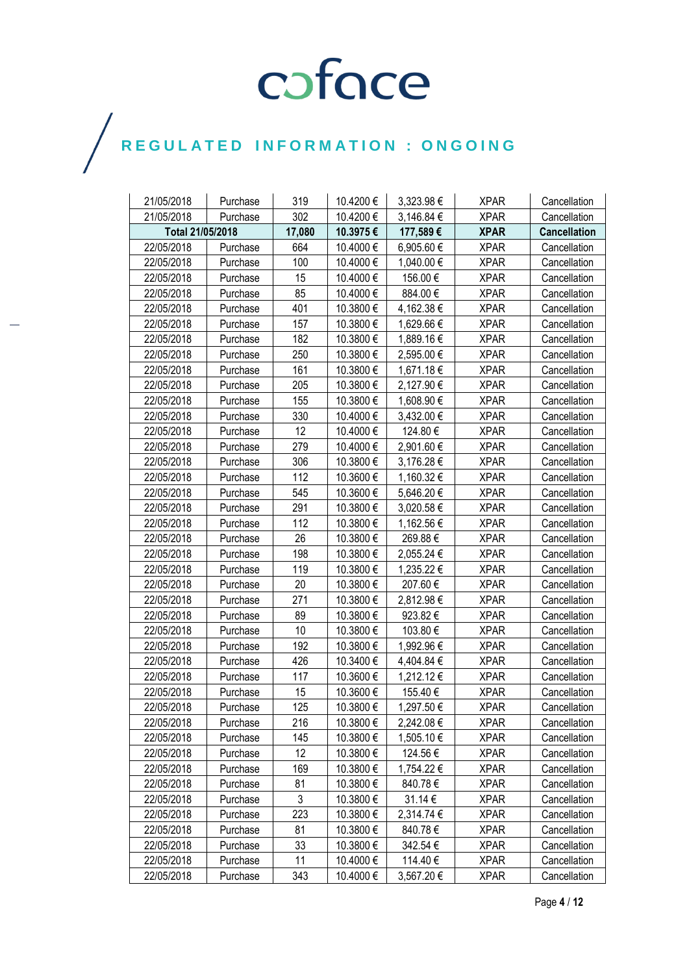| 21/05/2018       | Purchase | 319    | 10.4200€  | 3,323.98€  | <b>XPAR</b> | Cancellation        |
|------------------|----------|--------|-----------|------------|-------------|---------------------|
| 21/05/2018       | Purchase | 302    | 10.4200€  | 3,146.84 € | <b>XPAR</b> | Cancellation        |
| Total 21/05/2018 |          | 17,080 | 10.3975€  | 177,589€   | <b>XPAR</b> | <b>Cancellation</b> |
| 22/05/2018       | Purchase | 664    | 10.4000€  | 6,905.60 € | <b>XPAR</b> | Cancellation        |
| 22/05/2018       | Purchase | 100    | 10.4000€  | 1,040.00 € | <b>XPAR</b> | Cancellation        |
| 22/05/2018       | Purchase | 15     | 10.4000 € | 156.00€    | <b>XPAR</b> | Cancellation        |
| 22/05/2018       | Purchase | 85     | 10.4000€  | 884.00€    | <b>XPAR</b> | Cancellation        |
| 22/05/2018       | Purchase | 401    | 10.3800€  | 4,162.38 € | <b>XPAR</b> | Cancellation        |
| 22/05/2018       | Purchase | 157    | 10.3800 € | 1,629.66 € | <b>XPAR</b> | Cancellation        |
| 22/05/2018       | Purchase | 182    | 10.3800€  | 1,889.16€  | <b>XPAR</b> | Cancellation        |
| 22/05/2018       | Purchase | 250    | 10.3800€  | 2,595.00 € | <b>XPAR</b> | Cancellation        |
| 22/05/2018       | Purchase | 161    | 10.3800€  | 1,671.18€  | <b>XPAR</b> | Cancellation        |
| 22/05/2018       | Purchase | 205    | 10.3800€  | 2,127.90 € | <b>XPAR</b> | Cancellation        |
| 22/05/2018       | Purchase | 155    | 10.3800€  | 1,608.90 € | <b>XPAR</b> | Cancellation        |
| 22/05/2018       | Purchase | 330    | 10.4000€  | 3,432.00 € | <b>XPAR</b> | Cancellation        |
| 22/05/2018       | Purchase | 12     | 10.4000€  | 124.80€    | <b>XPAR</b> | Cancellation        |
| 22/05/2018       | Purchase | 279    | 10.4000 € | 2,901.60 € | <b>XPAR</b> | Cancellation        |
| 22/05/2018       | Purchase | 306    | 10.3800 € | 3,176.28 € | <b>XPAR</b> | Cancellation        |
| 22/05/2018       | Purchase | 112    | 10.3600€  | 1,160.32 € | <b>XPAR</b> | Cancellation        |
| 22/05/2018       | Purchase | 545    | 10.3600€  | 5,646.20 € | <b>XPAR</b> | Cancellation        |
| 22/05/2018       | Purchase | 291    | 10.3800€  | 3,020.58 € | <b>XPAR</b> | Cancellation        |
| 22/05/2018       | Purchase | 112    | 10.3800€  | 1,162.56 € | <b>XPAR</b> | Cancellation        |
| 22/05/2018       | Purchase | 26     | 10.3800 € | 269.88€    | <b>XPAR</b> | Cancellation        |
| 22/05/2018       | Purchase | 198    | 10.3800€  | 2,055.24 € | <b>XPAR</b> | Cancellation        |
| 22/05/2018       | Purchase | 119    | 10.3800€  | 1,235.22 € | <b>XPAR</b> | Cancellation        |
| 22/05/2018       | Purchase | 20     | 10.3800€  | 207.60€    | <b>XPAR</b> | Cancellation        |
| 22/05/2018       | Purchase | 271    | 10.3800€  | 2,812.98€  | <b>XPAR</b> | Cancellation        |
| 22/05/2018       | Purchase | 89     | 10.3800 € | 923.82€    | <b>XPAR</b> | Cancellation        |
| 22/05/2018       | Purchase | 10     | 10.3800€  | 103.80€    | <b>XPAR</b> | Cancellation        |
| 22/05/2018       | Purchase | 192    | 10.3800€  | 1,992.96 € | <b>XPAR</b> | Cancellation        |
| 22/05/2018       | Purchase | 426    | 10.3400€  | 4,404.84 € | <b>XPAR</b> | Cancellation        |
| 22/05/2018       | Purchase | 117    | 10.3600€  | 1,212.12€  | <b>XPAR</b> | Cancellation        |
| 22/05/2018       | Purchase | 15     | 10.3600€  | 155.40€    | <b>XPAR</b> | Cancellation        |
| 22/05/2018       | Purchase | 125    | 10.3800€  | 1,297.50€  | <b>XPAR</b> | Cancellation        |
| 22/05/2018       | Purchase | 216    | 10.3800€  | 2,242.08 € | <b>XPAR</b> | Cancellation        |
| 22/05/2018       | Purchase | 145    | 10.3800 € | 1,505.10 € | <b>XPAR</b> | Cancellation        |
| 22/05/2018       | Purchase | 12     | 10.3800 € | 124.56 €   | <b>XPAR</b> | Cancellation        |
| 22/05/2018       | Purchase | 169    | 10.3800€  | 1,754.22 € | <b>XPAR</b> | Cancellation        |
| 22/05/2018       | Purchase | 81     | 10.3800€  | 840.78€    | <b>XPAR</b> | Cancellation        |
| 22/05/2018       | Purchase | 3      | 10.3800€  | 31.14 €    | <b>XPAR</b> | Cancellation        |
| 22/05/2018       | Purchase | 223    | 10.3800 € | 2,314.74 € | <b>XPAR</b> | Cancellation        |
| 22/05/2018       | Purchase | 81     | 10.3800€  | 840.78€    | <b>XPAR</b> | Cancellation        |
| 22/05/2018       | Purchase | 33     | 10.3800 € | 342.54 €   | <b>XPAR</b> | Cancellation        |
| 22/05/2018       | Purchase | 11     | 10.4000 € | 114.40 €   | <b>XPAR</b> | Cancellation        |
| 22/05/2018       | Purchase | 343    | 10.4000 € | 3,567.20 € | <b>XPAR</b> | Cancellation        |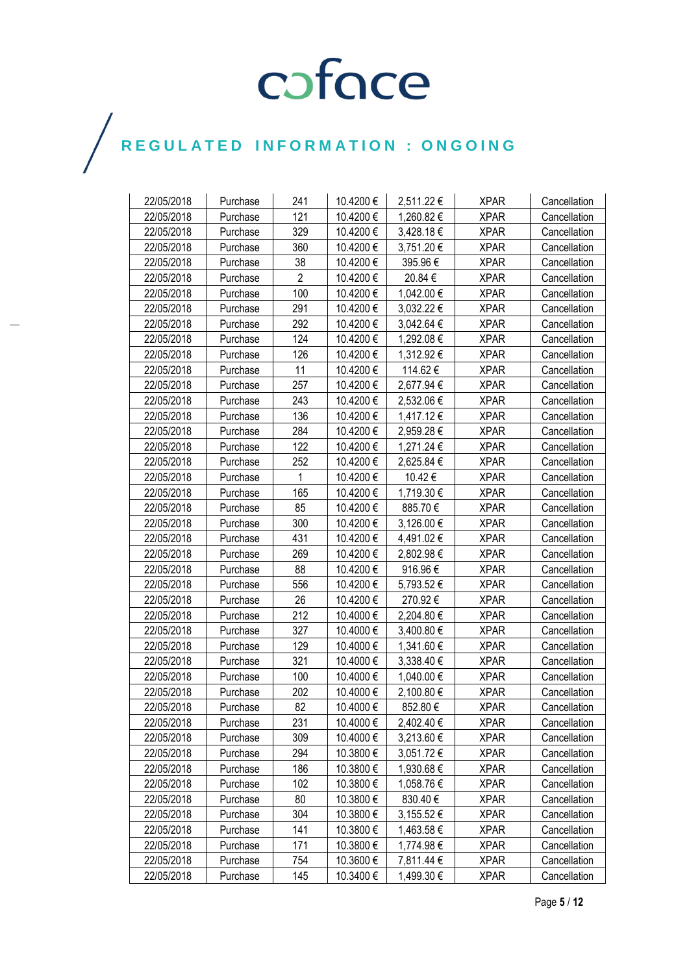| 10.4200€<br>22/05/2018<br>241<br>2,511.22 €<br><b>XPAR</b><br>Purchase<br>Cancellation<br>121<br>22/05/2018<br>10.4200€<br>1,260.82€<br><b>XPAR</b><br>Cancellation<br>Purchase<br>329<br>22/05/2018<br>10.4200 €<br>3,428.18€<br><b>XPAR</b><br>Cancellation<br>Purchase<br>360<br>10.4200€<br>22/05/2018<br>3,751.20 €<br><b>XPAR</b><br>Cancellation<br>Purchase<br>10.4200€<br>22/05/2018<br>38<br>395.96€<br><b>XPAR</b><br>Purchase<br>Cancellation<br>$\overline{2}$<br>22/05/2018<br>10.4200 €<br>20.84 €<br><b>XPAR</b><br>Purchase<br>Cancellation<br>100<br>22/05/2018<br>10.4200€<br>1,042.00 €<br><b>XPAR</b><br>Purchase<br>Cancellation<br>291<br>22/05/2018<br>10.4200€<br>3,032.22 €<br>Purchase<br><b>XPAR</b><br>Cancellation<br>292<br>22/05/2018<br>10.4200€<br>3,042.64 €<br><b>XPAR</b><br>Cancellation<br>Purchase<br>124<br>10.4200€<br>22/05/2018<br>1,292.08€<br><b>XPAR</b><br>Purchase<br>Cancellation<br>22/05/2018<br>126<br>10.4200€<br>1,312.92 €<br><b>XPAR</b><br>Purchase<br>Cancellation<br>22/05/2018<br>11<br>10.4200 €<br>114.62 €<br><b>XPAR</b><br>Cancellation<br>Purchase<br>22/05/2018<br>257<br>10.4200 €<br>2,677.94 €<br><b>XPAR</b><br>Cancellation<br>Purchase<br>22/05/2018<br>243<br>10.4200€<br>2,532.06 €<br><b>XPAR</b><br>Cancellation<br>Purchase<br>136<br>10.4200€<br>1,417.12€<br>22/05/2018<br><b>XPAR</b><br>Purchase<br>Cancellation<br>284<br>10.4200€<br>2,959.28€<br>22/05/2018<br><b>XPAR</b><br>Cancellation<br>Purchase<br>122<br>22/05/2018<br>10.4200€<br>1,271.24 €<br><b>XPAR</b><br>Purchase<br>Cancellation<br>252<br>22/05/2018<br>10.4200€<br>2,625.84 €<br><b>XPAR</b><br>Cancellation<br>Purchase<br>22/05/2018<br>10.4200€<br>10.42€<br>Purchase<br><b>XPAR</b><br>Cancellation<br>1<br>22/05/2018<br>165<br>10.4200€<br>1,719.30 €<br><b>XPAR</b><br>Purchase<br>Cancellation<br>22/05/2018<br>85<br>10.4200€<br>885.70€<br><b>XPAR</b><br>Cancellation<br>Purchase<br>22/05/2018<br>300<br>10.4200€<br>3,126.00 €<br><b>XPAR</b><br>Cancellation<br>Purchase<br>10.4200€<br>22/05/2018<br>431<br>4,491.02€<br><b>XPAR</b><br>Cancellation<br>Purchase<br>22/05/2018<br>269<br>10.4200€<br>2,802.98€<br><b>XPAR</b><br>Cancellation<br>Purchase |
|----------------------------------------------------------------------------------------------------------------------------------------------------------------------------------------------------------------------------------------------------------------------------------------------------------------------------------------------------------------------------------------------------------------------------------------------------------------------------------------------------------------------------------------------------------------------------------------------------------------------------------------------------------------------------------------------------------------------------------------------------------------------------------------------------------------------------------------------------------------------------------------------------------------------------------------------------------------------------------------------------------------------------------------------------------------------------------------------------------------------------------------------------------------------------------------------------------------------------------------------------------------------------------------------------------------------------------------------------------------------------------------------------------------------------------------------------------------------------------------------------------------------------------------------------------------------------------------------------------------------------------------------------------------------------------------------------------------------------------------------------------------------------------------------------------------------------------------------------------------------------------------------------------------------------------------------------------------------------------------------------------------------------------------------------------------------------------------------------------------------------------------------------------------------------------------------------------------------------------|
|                                                                                                                                                                                                                                                                                                                                                                                                                                                                                                                                                                                                                                                                                                                                                                                                                                                                                                                                                                                                                                                                                                                                                                                                                                                                                                                                                                                                                                                                                                                                                                                                                                                                                                                                                                                                                                                                                                                                                                                                                                                                                                                                                                                                                                  |
|                                                                                                                                                                                                                                                                                                                                                                                                                                                                                                                                                                                                                                                                                                                                                                                                                                                                                                                                                                                                                                                                                                                                                                                                                                                                                                                                                                                                                                                                                                                                                                                                                                                                                                                                                                                                                                                                                                                                                                                                                                                                                                                                                                                                                                  |
|                                                                                                                                                                                                                                                                                                                                                                                                                                                                                                                                                                                                                                                                                                                                                                                                                                                                                                                                                                                                                                                                                                                                                                                                                                                                                                                                                                                                                                                                                                                                                                                                                                                                                                                                                                                                                                                                                                                                                                                                                                                                                                                                                                                                                                  |
|                                                                                                                                                                                                                                                                                                                                                                                                                                                                                                                                                                                                                                                                                                                                                                                                                                                                                                                                                                                                                                                                                                                                                                                                                                                                                                                                                                                                                                                                                                                                                                                                                                                                                                                                                                                                                                                                                                                                                                                                                                                                                                                                                                                                                                  |
|                                                                                                                                                                                                                                                                                                                                                                                                                                                                                                                                                                                                                                                                                                                                                                                                                                                                                                                                                                                                                                                                                                                                                                                                                                                                                                                                                                                                                                                                                                                                                                                                                                                                                                                                                                                                                                                                                                                                                                                                                                                                                                                                                                                                                                  |
|                                                                                                                                                                                                                                                                                                                                                                                                                                                                                                                                                                                                                                                                                                                                                                                                                                                                                                                                                                                                                                                                                                                                                                                                                                                                                                                                                                                                                                                                                                                                                                                                                                                                                                                                                                                                                                                                                                                                                                                                                                                                                                                                                                                                                                  |
|                                                                                                                                                                                                                                                                                                                                                                                                                                                                                                                                                                                                                                                                                                                                                                                                                                                                                                                                                                                                                                                                                                                                                                                                                                                                                                                                                                                                                                                                                                                                                                                                                                                                                                                                                                                                                                                                                                                                                                                                                                                                                                                                                                                                                                  |
|                                                                                                                                                                                                                                                                                                                                                                                                                                                                                                                                                                                                                                                                                                                                                                                                                                                                                                                                                                                                                                                                                                                                                                                                                                                                                                                                                                                                                                                                                                                                                                                                                                                                                                                                                                                                                                                                                                                                                                                                                                                                                                                                                                                                                                  |
|                                                                                                                                                                                                                                                                                                                                                                                                                                                                                                                                                                                                                                                                                                                                                                                                                                                                                                                                                                                                                                                                                                                                                                                                                                                                                                                                                                                                                                                                                                                                                                                                                                                                                                                                                                                                                                                                                                                                                                                                                                                                                                                                                                                                                                  |
|                                                                                                                                                                                                                                                                                                                                                                                                                                                                                                                                                                                                                                                                                                                                                                                                                                                                                                                                                                                                                                                                                                                                                                                                                                                                                                                                                                                                                                                                                                                                                                                                                                                                                                                                                                                                                                                                                                                                                                                                                                                                                                                                                                                                                                  |
|                                                                                                                                                                                                                                                                                                                                                                                                                                                                                                                                                                                                                                                                                                                                                                                                                                                                                                                                                                                                                                                                                                                                                                                                                                                                                                                                                                                                                                                                                                                                                                                                                                                                                                                                                                                                                                                                                                                                                                                                                                                                                                                                                                                                                                  |
|                                                                                                                                                                                                                                                                                                                                                                                                                                                                                                                                                                                                                                                                                                                                                                                                                                                                                                                                                                                                                                                                                                                                                                                                                                                                                                                                                                                                                                                                                                                                                                                                                                                                                                                                                                                                                                                                                                                                                                                                                                                                                                                                                                                                                                  |
|                                                                                                                                                                                                                                                                                                                                                                                                                                                                                                                                                                                                                                                                                                                                                                                                                                                                                                                                                                                                                                                                                                                                                                                                                                                                                                                                                                                                                                                                                                                                                                                                                                                                                                                                                                                                                                                                                                                                                                                                                                                                                                                                                                                                                                  |
|                                                                                                                                                                                                                                                                                                                                                                                                                                                                                                                                                                                                                                                                                                                                                                                                                                                                                                                                                                                                                                                                                                                                                                                                                                                                                                                                                                                                                                                                                                                                                                                                                                                                                                                                                                                                                                                                                                                                                                                                                                                                                                                                                                                                                                  |
|                                                                                                                                                                                                                                                                                                                                                                                                                                                                                                                                                                                                                                                                                                                                                                                                                                                                                                                                                                                                                                                                                                                                                                                                                                                                                                                                                                                                                                                                                                                                                                                                                                                                                                                                                                                                                                                                                                                                                                                                                                                                                                                                                                                                                                  |
|                                                                                                                                                                                                                                                                                                                                                                                                                                                                                                                                                                                                                                                                                                                                                                                                                                                                                                                                                                                                                                                                                                                                                                                                                                                                                                                                                                                                                                                                                                                                                                                                                                                                                                                                                                                                                                                                                                                                                                                                                                                                                                                                                                                                                                  |
|                                                                                                                                                                                                                                                                                                                                                                                                                                                                                                                                                                                                                                                                                                                                                                                                                                                                                                                                                                                                                                                                                                                                                                                                                                                                                                                                                                                                                                                                                                                                                                                                                                                                                                                                                                                                                                                                                                                                                                                                                                                                                                                                                                                                                                  |
|                                                                                                                                                                                                                                                                                                                                                                                                                                                                                                                                                                                                                                                                                                                                                                                                                                                                                                                                                                                                                                                                                                                                                                                                                                                                                                                                                                                                                                                                                                                                                                                                                                                                                                                                                                                                                                                                                                                                                                                                                                                                                                                                                                                                                                  |
|                                                                                                                                                                                                                                                                                                                                                                                                                                                                                                                                                                                                                                                                                                                                                                                                                                                                                                                                                                                                                                                                                                                                                                                                                                                                                                                                                                                                                                                                                                                                                                                                                                                                                                                                                                                                                                                                                                                                                                                                                                                                                                                                                                                                                                  |
|                                                                                                                                                                                                                                                                                                                                                                                                                                                                                                                                                                                                                                                                                                                                                                                                                                                                                                                                                                                                                                                                                                                                                                                                                                                                                                                                                                                                                                                                                                                                                                                                                                                                                                                                                                                                                                                                                                                                                                                                                                                                                                                                                                                                                                  |
|                                                                                                                                                                                                                                                                                                                                                                                                                                                                                                                                                                                                                                                                                                                                                                                                                                                                                                                                                                                                                                                                                                                                                                                                                                                                                                                                                                                                                                                                                                                                                                                                                                                                                                                                                                                                                                                                                                                                                                                                                                                                                                                                                                                                                                  |
|                                                                                                                                                                                                                                                                                                                                                                                                                                                                                                                                                                                                                                                                                                                                                                                                                                                                                                                                                                                                                                                                                                                                                                                                                                                                                                                                                                                                                                                                                                                                                                                                                                                                                                                                                                                                                                                                                                                                                                                                                                                                                                                                                                                                                                  |
|                                                                                                                                                                                                                                                                                                                                                                                                                                                                                                                                                                                                                                                                                                                                                                                                                                                                                                                                                                                                                                                                                                                                                                                                                                                                                                                                                                                                                                                                                                                                                                                                                                                                                                                                                                                                                                                                                                                                                                                                                                                                                                                                                                                                                                  |
|                                                                                                                                                                                                                                                                                                                                                                                                                                                                                                                                                                                                                                                                                                                                                                                                                                                                                                                                                                                                                                                                                                                                                                                                                                                                                                                                                                                                                                                                                                                                                                                                                                                                                                                                                                                                                                                                                                                                                                                                                                                                                                                                                                                                                                  |
| 88<br>10.4200€<br>22/05/2018<br>916.96€<br><b>XPAR</b><br>Purchase<br>Cancellation                                                                                                                                                                                                                                                                                                                                                                                                                                                                                                                                                                                                                                                                                                                                                                                                                                                                                                                                                                                                                                                                                                                                                                                                                                                                                                                                                                                                                                                                                                                                                                                                                                                                                                                                                                                                                                                                                                                                                                                                                                                                                                                                               |
| 556<br>22/05/2018<br>10.4200 €<br>5,793.52 €<br><b>XPAR</b><br>Cancellation<br>Purchase                                                                                                                                                                                                                                                                                                                                                                                                                                                                                                                                                                                                                                                                                                                                                                                                                                                                                                                                                                                                                                                                                                                                                                                                                                                                                                                                                                                                                                                                                                                                                                                                                                                                                                                                                                                                                                                                                                                                                                                                                                                                                                                                          |
| 26<br>10.4200€<br>22/05/2018<br>270.92€<br><b>XPAR</b><br>Purchase<br>Cancellation                                                                                                                                                                                                                                                                                                                                                                                                                                                                                                                                                                                                                                                                                                                                                                                                                                                                                                                                                                                                                                                                                                                                                                                                                                                                                                                                                                                                                                                                                                                                                                                                                                                                                                                                                                                                                                                                                                                                                                                                                                                                                                                                               |
| 212<br>22/05/2018<br>10.4000€<br>2,204.80 €<br><b>XPAR</b><br>Cancellation<br>Purchase                                                                                                                                                                                                                                                                                                                                                                                                                                                                                                                                                                                                                                                                                                                                                                                                                                                                                                                                                                                                                                                                                                                                                                                                                                                                                                                                                                                                                                                                                                                                                                                                                                                                                                                                                                                                                                                                                                                                                                                                                                                                                                                                           |
| 327<br>22/05/2018<br>10.4000€<br>3,400.80 €<br><b>XPAR</b><br>Purchase<br>Cancellation                                                                                                                                                                                                                                                                                                                                                                                                                                                                                                                                                                                                                                                                                                                                                                                                                                                                                                                                                                                                                                                                                                                                                                                                                                                                                                                                                                                                                                                                                                                                                                                                                                                                                                                                                                                                                                                                                                                                                                                                                                                                                                                                           |
| 129<br>10.4000€<br>22/05/2018<br>1,341.60 €<br><b>XPAR</b><br>Purchase<br>Cancellation                                                                                                                                                                                                                                                                                                                                                                                                                                                                                                                                                                                                                                                                                                                                                                                                                                                                                                                                                                                                                                                                                                                                                                                                                                                                                                                                                                                                                                                                                                                                                                                                                                                                                                                                                                                                                                                                                                                                                                                                                                                                                                                                           |
| 321<br>22/05/2018<br>10.4000 €<br>3,338.40 €<br><b>XPAR</b><br>Cancellation<br>Purchase                                                                                                                                                                                                                                                                                                                                                                                                                                                                                                                                                                                                                                                                                                                                                                                                                                                                                                                                                                                                                                                                                                                                                                                                                                                                                                                                                                                                                                                                                                                                                                                                                                                                                                                                                                                                                                                                                                                                                                                                                                                                                                                                          |
| 22/05/2018<br>100<br>10.4000€<br>1,040.00 €<br><b>XPAR</b><br>Cancellation<br>Purchase                                                                                                                                                                                                                                                                                                                                                                                                                                                                                                                                                                                                                                                                                                                                                                                                                                                                                                                                                                                                                                                                                                                                                                                                                                                                                                                                                                                                                                                                                                                                                                                                                                                                                                                                                                                                                                                                                                                                                                                                                                                                                                                                           |
| 22/05/2018<br>10.4000€<br>202<br>2,100.80 €<br><b>XPAR</b><br>Cancellation<br>Purchase                                                                                                                                                                                                                                                                                                                                                                                                                                                                                                                                                                                                                                                                                                                                                                                                                                                                                                                                                                                                                                                                                                                                                                                                                                                                                                                                                                                                                                                                                                                                                                                                                                                                                                                                                                                                                                                                                                                                                                                                                                                                                                                                           |
| 22/05/2018<br>82<br>10.4000€<br>852.80€<br><b>XPAR</b><br>Purchase<br>Cancellation                                                                                                                                                                                                                                                                                                                                                                                                                                                                                                                                                                                                                                                                                                                                                                                                                                                                                                                                                                                                                                                                                                                                                                                                                                                                                                                                                                                                                                                                                                                                                                                                                                                                                                                                                                                                                                                                                                                                                                                                                                                                                                                                               |
| 231<br>10.4000€<br>2,402.40 €<br>22/05/2018<br><b>XPAR</b><br>Purchase<br>Cancellation                                                                                                                                                                                                                                                                                                                                                                                                                                                                                                                                                                                                                                                                                                                                                                                                                                                                                                                                                                                                                                                                                                                                                                                                                                                                                                                                                                                                                                                                                                                                                                                                                                                                                                                                                                                                                                                                                                                                                                                                                                                                                                                                           |
| 309<br>10.4000 €<br>3,213.60 €<br><b>XPAR</b><br>22/05/2018<br>Cancellation<br>Purchase                                                                                                                                                                                                                                                                                                                                                                                                                                                                                                                                                                                                                                                                                                                                                                                                                                                                                                                                                                                                                                                                                                                                                                                                                                                                                                                                                                                                                                                                                                                                                                                                                                                                                                                                                                                                                                                                                                                                                                                                                                                                                                                                          |
| 22/05/2018<br>294<br>10.3800 €<br>3,051.72€<br><b>XPAR</b><br>Cancellation<br>Purchase                                                                                                                                                                                                                                                                                                                                                                                                                                                                                                                                                                                                                                                                                                                                                                                                                                                                                                                                                                                                                                                                                                                                                                                                                                                                                                                                                                                                                                                                                                                                                                                                                                                                                                                                                                                                                                                                                                                                                                                                                                                                                                                                           |
| 10.3800€<br>22/05/2018<br>186<br>1,930.68 €<br><b>XPAR</b><br>Cancellation<br>Purchase                                                                                                                                                                                                                                                                                                                                                                                                                                                                                                                                                                                                                                                                                                                                                                                                                                                                                                                                                                                                                                                                                                                                                                                                                                                                                                                                                                                                                                                                                                                                                                                                                                                                                                                                                                                                                                                                                                                                                                                                                                                                                                                                           |
| 22/05/2018<br>102<br>10.3800€<br>1,058.76 €<br>Purchase<br><b>XPAR</b><br>Cancellation                                                                                                                                                                                                                                                                                                                                                                                                                                                                                                                                                                                                                                                                                                                                                                                                                                                                                                                                                                                                                                                                                                                                                                                                                                                                                                                                                                                                                                                                                                                                                                                                                                                                                                                                                                                                                                                                                                                                                                                                                                                                                                                                           |
| 10.3800€<br>22/05/2018<br>80<br>830.40 €<br><b>XPAR</b><br>Cancellation<br>Purchase                                                                                                                                                                                                                                                                                                                                                                                                                                                                                                                                                                                                                                                                                                                                                                                                                                                                                                                                                                                                                                                                                                                                                                                                                                                                                                                                                                                                                                                                                                                                                                                                                                                                                                                                                                                                                                                                                                                                                                                                                                                                                                                                              |
| 304<br>10.3800 €<br><b>XPAR</b><br>22/05/2018<br>3,155.52 €<br>Purchase<br>Cancellation                                                                                                                                                                                                                                                                                                                                                                                                                                                                                                                                                                                                                                                                                                                                                                                                                                                                                                                                                                                                                                                                                                                                                                                                                                                                                                                                                                                                                                                                                                                                                                                                                                                                                                                                                                                                                                                                                                                                                                                                                                                                                                                                          |
| 22/05/2018<br>141<br>10.3800 €<br>1,463.58 €<br><b>XPAR</b><br>Cancellation<br>Purchase                                                                                                                                                                                                                                                                                                                                                                                                                                                                                                                                                                                                                                                                                                                                                                                                                                                                                                                                                                                                                                                                                                                                                                                                                                                                                                                                                                                                                                                                                                                                                                                                                                                                                                                                                                                                                                                                                                                                                                                                                                                                                                                                          |
| 171<br>10.3800€<br>22/05/2018<br>1,774.98 €<br><b>XPAR</b><br>Cancellation<br>Purchase                                                                                                                                                                                                                                                                                                                                                                                                                                                                                                                                                                                                                                                                                                                                                                                                                                                                                                                                                                                                                                                                                                                                                                                                                                                                                                                                                                                                                                                                                                                                                                                                                                                                                                                                                                                                                                                                                                                                                                                                                                                                                                                                           |
| 22/05/2018<br>10.3600€<br>754<br>7,811.44 €<br><b>XPAR</b><br>Cancellation<br>Purchase                                                                                                                                                                                                                                                                                                                                                                                                                                                                                                                                                                                                                                                                                                                                                                                                                                                                                                                                                                                                                                                                                                                                                                                                                                                                                                                                                                                                                                                                                                                                                                                                                                                                                                                                                                                                                                                                                                                                                                                                                                                                                                                                           |
| 22/05/2018<br>10.3400 €<br>Purchase<br>145<br>1,499.30 €<br><b>XPAR</b><br>Cancellation                                                                                                                                                                                                                                                                                                                                                                                                                                                                                                                                                                                                                                                                                                                                                                                                                                                                                                                                                                                                                                                                                                                                                                                                                                                                                                                                                                                                                                                                                                                                                                                                                                                                                                                                                                                                                                                                                                                                                                                                                                                                                                                                          |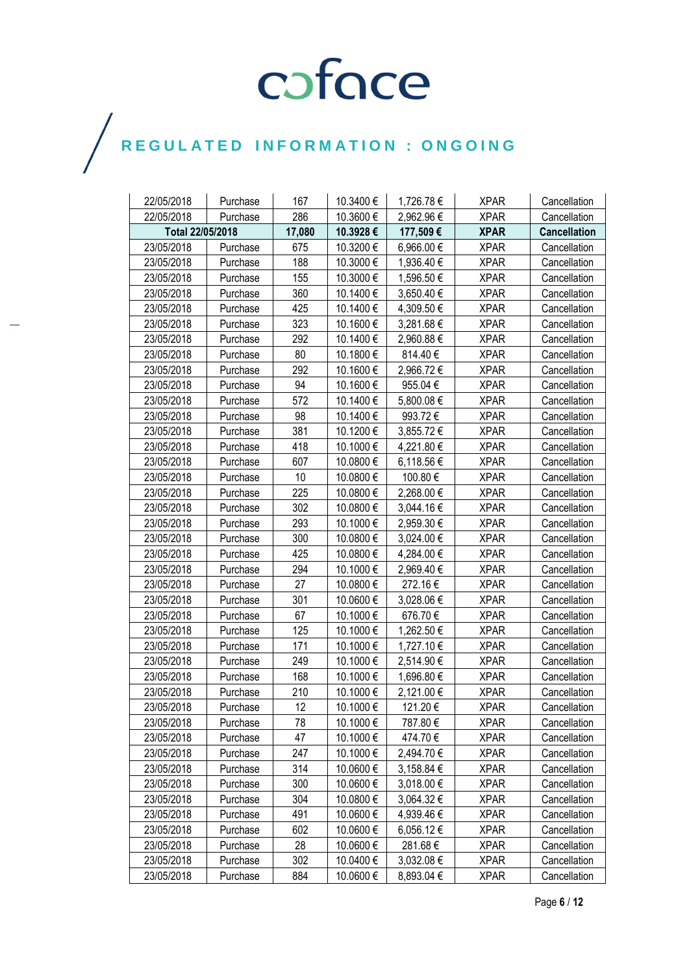| 22/05/2018       | Purchase | 167    | 10.3400 € | 1,726.78€  | <b>XPAR</b> | Cancellation        |
|------------------|----------|--------|-----------|------------|-------------|---------------------|
| 22/05/2018       | Purchase | 286    | 10.3600€  | 2,962.96€  | <b>XPAR</b> | Cancellation        |
| Total 22/05/2018 |          | 17,080 | 10.3928€  | 177,509€   | <b>XPAR</b> | <b>Cancellation</b> |
| 23/05/2018       | Purchase | 675    | 10.3200€  | 6,966.00 € | <b>XPAR</b> | Cancellation        |
| 23/05/2018       | Purchase | 188    | 10.3000€  | 1,936.40 € | <b>XPAR</b> | Cancellation        |
| 23/05/2018       | Purchase | 155    | 10.3000€  | 1,596.50 € | <b>XPAR</b> | Cancellation        |
| 23/05/2018       | Purchase | 360    | 10.1400€  | 3,650.40 € | <b>XPAR</b> | Cancellation        |
| 23/05/2018       | Purchase | 425    | 10.1400€  | 4,309.50 € | <b>XPAR</b> | Cancellation        |
| 23/05/2018       | Purchase | 323    | 10.1600€  | 3,281.68€  | <b>XPAR</b> | Cancellation        |
| 23/05/2018       | Purchase | 292    | 10.1400€  | 2,960.88€  | <b>XPAR</b> | Cancellation        |
| 23/05/2018       | Purchase | 80     | 10.1800€  | 814.40€    | <b>XPAR</b> | Cancellation        |
| 23/05/2018       | Purchase | 292    | 10.1600€  | 2,966.72€  | <b>XPAR</b> | Cancellation        |
| 23/05/2018       | Purchase | 94     | 10.1600€  | 955.04 €   | <b>XPAR</b> | Cancellation        |
| 23/05/2018       | Purchase | 572    | 10.1400€  | 5,800.08€  | <b>XPAR</b> | Cancellation        |
| 23/05/2018       | Purchase | 98     | 10.1400€  | 993.72€    | <b>XPAR</b> | Cancellation        |
| 23/05/2018       | Purchase | 381    | 10.1200€  | 3,855.72€  | <b>XPAR</b> | Cancellation        |
| 23/05/2018       | Purchase | 418    | 10.1000 € | 4,221.80 € | <b>XPAR</b> | Cancellation        |
| 23/05/2018       | Purchase | 607    | 10.0800 € | 6,118.56 € | <b>XPAR</b> | Cancellation        |
| 23/05/2018       | Purchase | 10     | 10.0800€  | 100.80 €   | <b>XPAR</b> | Cancellation        |
| 23/05/2018       | Purchase | 225    | 10.0800€  | 2,268.00€  | <b>XPAR</b> | Cancellation        |
| 23/05/2018       | Purchase | 302    | 10.0800€  | 3,044.16 € | <b>XPAR</b> | Cancellation        |
| 23/05/2018       | Purchase | 293    | 10.1000€  | 2,959.30 € | <b>XPAR</b> | Cancellation        |
| 23/05/2018       | Purchase | 300    | 10.0800€  | 3,024.00 € | <b>XPAR</b> | Cancellation        |
| 23/05/2018       | Purchase | 425    | 10.0800€  | 4,284.00 € | <b>XPAR</b> | Cancellation        |
| 23/05/2018       | Purchase | 294    | 10.1000€  | 2,969.40 € | <b>XPAR</b> | Cancellation        |
| 23/05/2018       | Purchase | 27     | 10.0800€  | 272.16€    | <b>XPAR</b> | Cancellation        |
| 23/05/2018       | Purchase | 301    | 10.0600€  | 3,028.06 € | <b>XPAR</b> | Cancellation        |
| 23/05/2018       | Purchase | 67     | 10.1000€  | 676.70€    | <b>XPAR</b> | Cancellation        |
| 23/05/2018       | Purchase | 125    | 10.1000€  | 1,262.50 € | <b>XPAR</b> | Cancellation        |
| 23/05/2018       | Purchase | 171    | 10.1000 € | 1,727.10 € | <b>XPAR</b> | Cancellation        |
| 23/05/2018       | Purchase | 249    | 10.1000€  | 2,514.90€  | <b>XPAR</b> | Cancellation        |
| 23/05/2018       | Purchase | 168    | 10.1000€  | 1,696.80 € | <b>XPAR</b> | Cancellation        |
| 23/05/2018       | Purchase | 210    | 10.1000€  | 2,121.00 € | <b>XPAR</b> | Cancellation        |
| 23/05/2018       | Purchase | 12     | 10.1000€  | 121.20€    | <b>XPAR</b> | Cancellation        |
| 23/05/2018       | Purchase | 78     | 10.1000 € | 787.80€    | <b>XPAR</b> | Cancellation        |
| 23/05/2018       | Purchase | 47     | 10.1000 € | 474.70€    | <b>XPAR</b> | Cancellation        |
| 23/05/2018       | Purchase | 247    | 10.1000 € | 2,494.70 € | <b>XPAR</b> | Cancellation        |
| 23/05/2018       | Purchase | 314    | 10.0600€  | 3,158.84 € | <b>XPAR</b> | Cancellation        |
| 23/05/2018       | Purchase | 300    | 10.0600€  | 3,018.00 € | <b>XPAR</b> | Cancellation        |
| 23/05/2018       | Purchase | 304    | 10.0800 € | 3,064.32€  | <b>XPAR</b> | Cancellation        |
| 23/05/2018       | Purchase | 491    | 10.0600€  | 4,939.46 € | <b>XPAR</b> | Cancellation        |
| 23/05/2018       | Purchase | 602    | 10.0600€  | 6,056.12 € | <b>XPAR</b> | Cancellation        |
| 23/05/2018       | Purchase | 28     | 10.0600€  | 281.68€    | <b>XPAR</b> | Cancellation        |
| 23/05/2018       | Purchase | 302    | 10.0400€  | 3,032.08€  | <b>XPAR</b> | Cancellation        |
| 23/05/2018       | Purchase | 884    | 10.0600€  | 8,893.04 € | <b>XPAR</b> | Cancellation        |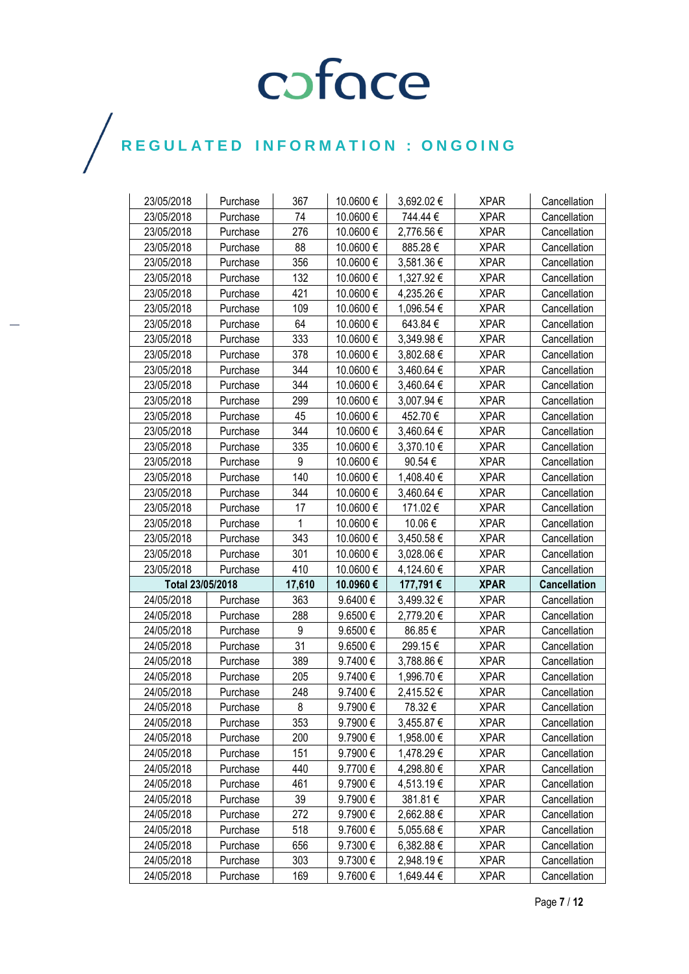| 23/05/2018               | Purchase | 367          | 10.0600€           | 3,692.02€               | <b>XPAR</b>                | Cancellation        |
|--------------------------|----------|--------------|--------------------|-------------------------|----------------------------|---------------------|
| 23/05/2018               | Purchase | 74           | 10.0600€           | 744.44€                 | <b>XPAR</b>                | Cancellation        |
| 23/05/2018               | Purchase | 276          | 10.0600€           | 2,776.56 €              | <b>XPAR</b>                | Cancellation        |
| 23/05/2018               | Purchase | 88           | 10.0600€           | 885.28€                 | <b>XPAR</b>                | Cancellation        |
| 23/05/2018               | Purchase | 356          | 10.0600€           | 3,581.36 €              | <b>XPAR</b>                | Cancellation        |
| 23/05/2018               | Purchase | 132          | 10.0600€           | 1,327.92€               | <b>XPAR</b>                | Cancellation        |
| 23/05/2018               | Purchase | 421          | 10.0600€           | 4,235.26 €              | <b>XPAR</b>                | Cancellation        |
| 23/05/2018               | Purchase | 109          | 10.0600€           | 1,096.54 €              | <b>XPAR</b>                | Cancellation        |
| 23/05/2018               | Purchase | 64           | 10.0600 €          | 643.84 €                | <b>XPAR</b>                | Cancellation        |
| 23/05/2018               | Purchase | 333          | 10.0600€           | 3,349.98 €              | <b>XPAR</b>                | Cancellation        |
| 23/05/2018               | Purchase | 378          | 10.0600€           | 3,802.68 €              | <b>XPAR</b>                | Cancellation        |
| 23/05/2018               | Purchase | 344          | 10.0600€           | 3,460.64 €              | <b>XPAR</b>                | Cancellation        |
| 23/05/2018               | Purchase | 344          | 10.0600€           | 3,460.64 €              | <b>XPAR</b>                | Cancellation        |
| 23/05/2018               | Purchase | 299          | 10.0600€           | 3,007.94 €              | <b>XPAR</b>                | Cancellation        |
| 23/05/2018               | Purchase | 45           | 10.0600€           | 452.70€                 | <b>XPAR</b>                | Cancellation        |
| 23/05/2018               | Purchase | 344          | 10.0600€           | 3,460.64 €              | <b>XPAR</b>                | Cancellation        |
| 23/05/2018               | Purchase | 335          | 10.0600€           | 3,370.10 €              | <b>XPAR</b>                | Cancellation        |
| 23/05/2018               | Purchase | 9            | 10.0600€           | 90.54€                  | <b>XPAR</b>                | Cancellation        |
| 23/05/2018               | Purchase | 140          | 10.0600€           | 1,408.40 €              | <b>XPAR</b>                | Cancellation        |
| 23/05/2018               | Purchase | 344          | 10.0600€           | 3,460.64 €              | <b>XPAR</b>                | Cancellation        |
| 23/05/2018               | Purchase | 17           | 10.0600€           | 171.02€                 | <b>XPAR</b>                | Cancellation        |
| 23/05/2018               | Purchase | $\mathbf{1}$ | 10.0600€           | 10.06€                  | <b>XPAR</b>                | Cancellation        |
| 23/05/2018               | Purchase | 343          | 10.0600€           | 3,450.58 €              | <b>XPAR</b>                | Cancellation        |
|                          |          |              |                    |                         |                            |                     |
| 23/05/2018               | Purchase | 301          | 10.0600€           | 3,028.06 €              | <b>XPAR</b>                | Cancellation        |
| 23/05/2018               | Purchase | 410          | 10.0600€           | 4,124.60 €              | <b>XPAR</b>                | Cancellation        |
| Total 23/05/2018         |          | 17,610       | 10.0960€           | 177,791 €               | <b>XPAR</b>                | <b>Cancellation</b> |
| 24/05/2018               | Purchase | 363          | 9.6400€            | 3,499.32 €              | <b>XPAR</b>                | Cancellation        |
| 24/05/2018               | Purchase | 288          | 9.6500€            | 2,779.20 €              | <b>XPAR</b>                | Cancellation        |
| 24/05/2018               | Purchase | 9            | 9.6500€            | 86.85€                  | <b>XPAR</b>                | Cancellation        |
| 24/05/2018               | Purchase | 31           | 9.6500€            | 299.15€                 | <b>XPAR</b>                | Cancellation        |
| 24/05/2018               | Purchase | 389          | 9.7400€            | 3,788.86 €              | <b>XPAR</b>                | Cancellation        |
| 24/05/2018               | Purchase | 205          | 9.7400€            | 1,996.70 €              | <b>XPAR</b>                | Cancellation        |
| 24/05/2018               | Purchase | 248          | 9.7400€            | 2,415.52€               | <b>XPAR</b>                | Cancellation        |
| 24/05/2018               | Purchase | 8            | 9.7900€            | 78.32€                  | <b>XPAR</b>                | Cancellation        |
| 24/05/2018               | Purchase | 353          | 9.7900€            | 3,455.87 €              | <b>XPAR</b>                | Cancellation        |
| 24/05/2018               | Purchase | 200          | 9.7900€            | 1,958.00 €              | <b>XPAR</b>                | Cancellation        |
| 24/05/2018               | Purchase | 151          | 9.7900€            | 1,478.29 €              | <b>XPAR</b>                | Cancellation        |
| 24/05/2018               | Purchase | 440          | 9.7700€            | 4,298.80 €              | <b>XPAR</b>                | Cancellation        |
| 24/05/2018               | Purchase | 461          | 9.7900€            | 4,513.19€               | <b>XPAR</b>                | Cancellation        |
| 24/05/2018               | Purchase | 39           | 9.7900€            | 381.81 €                | <b>XPAR</b>                | Cancellation        |
| 24/05/2018               | Purchase | 272          | 9.7900€            | 2,662.88 €              | <b>XPAR</b>                | Cancellation        |
| 24/05/2018               | Purchase | 518          | 9.7600€            | 5,055.68€               | <b>XPAR</b>                | Cancellation        |
| 24/05/2018               | Purchase | 656          | 9.7300€            | 6,382.88€               | <b>XPAR</b>                | Cancellation        |
| 24/05/2018<br>24/05/2018 | Purchase | 303<br>169   | 9.7300€<br>9.7600€ | 2,948.19€<br>1,649.44 € | <b>XPAR</b><br><b>XPAR</b> | Cancellation        |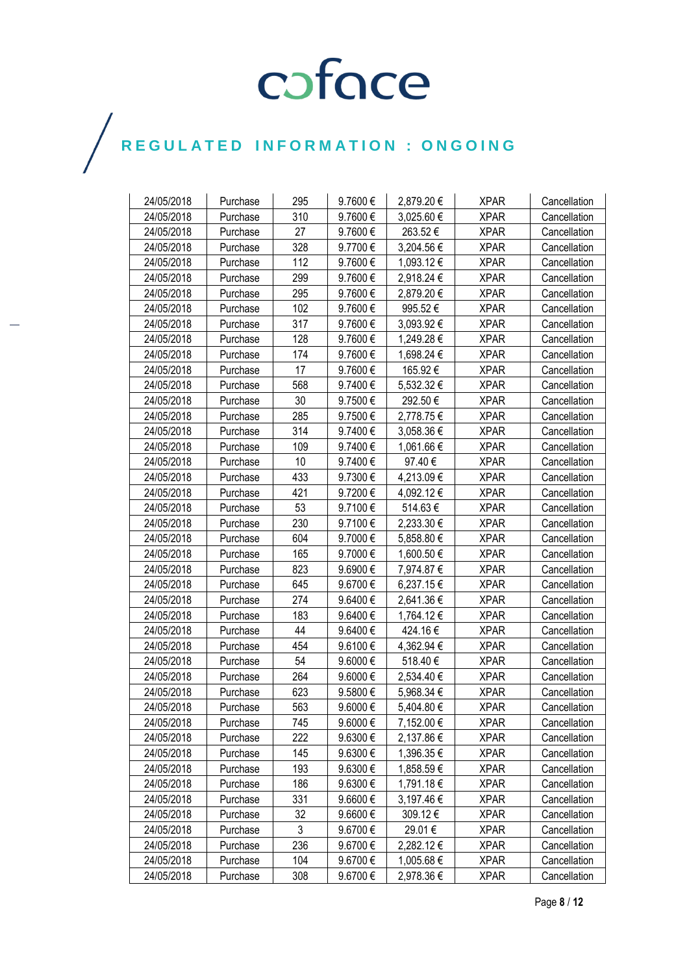| 24/05/2018 | Purchase | 295 | 9.7600€      | 2,879.20€  | <b>XPAR</b> | Cancellation |
|------------|----------|-----|--------------|------------|-------------|--------------|
| 24/05/2018 | Purchase | 310 | 9.7600€      | 3,025.60 € | <b>XPAR</b> | Cancellation |
| 24/05/2018 | Purchase | 27  | 9.7600€      | 263.52€    | <b>XPAR</b> | Cancellation |
| 24/05/2018 | Purchase | 328 | 9.7700€      | 3,204.56 € | <b>XPAR</b> | Cancellation |
| 24/05/2018 | Purchase | 112 | 9.7600€      | 1,093.12 € | <b>XPAR</b> | Cancellation |
| 24/05/2018 | Purchase | 299 | 9.7600€      | 2,918.24 € | <b>XPAR</b> | Cancellation |
| 24/05/2018 | Purchase | 295 | 9.7600€      | 2,879.20 € | <b>XPAR</b> | Cancellation |
| 24/05/2018 | Purchase | 102 | 9.7600€      | 995.52€    | <b>XPAR</b> | Cancellation |
| 24/05/2018 | Purchase | 317 | 9.7600€      | 3,093.92 € | <b>XPAR</b> | Cancellation |
| 24/05/2018 | Purchase | 128 | 9.7600€      | 1,249.28 € | <b>XPAR</b> | Cancellation |
| 24/05/2018 | Purchase | 174 | 9.7600€      | 1,698.24 € | <b>XPAR</b> | Cancellation |
| 24/05/2018 | Purchase | 17  | 9.7600€      | 165.92€    | <b>XPAR</b> | Cancellation |
| 24/05/2018 | Purchase | 568 | 9.7400€      | 5,532.32 € | <b>XPAR</b> | Cancellation |
| 24/05/2018 | Purchase | 30  | 9.7500€      | 292.50€    | <b>XPAR</b> | Cancellation |
| 24/05/2018 | Purchase | 285 | 9.7500€      | 2,778.75€  | <b>XPAR</b> | Cancellation |
| 24/05/2018 | Purchase | 314 | 9.7400€      | 3,058.36 € | <b>XPAR</b> | Cancellation |
| 24/05/2018 | Purchase | 109 | 9.7400€      | 1,061.66 € | <b>XPAR</b> | Cancellation |
| 24/05/2018 | Purchase | 10  | 9.7400€      | 97.40€     | <b>XPAR</b> | Cancellation |
| 24/05/2018 | Purchase | 433 | 9.7300€      | 4,213.09€  | <b>XPAR</b> | Cancellation |
| 24/05/2018 | Purchase | 421 | 9.7200€      | 4,092.12 € | <b>XPAR</b> | Cancellation |
| 24/05/2018 | Purchase | 53  | 9.7100€      | 514.63€    | <b>XPAR</b> | Cancellation |
| 24/05/2018 | Purchase | 230 | 9.7100€      | 2,233.30 € | <b>XPAR</b> | Cancellation |
| 24/05/2018 | Purchase | 604 | 9.7000€      | 5,858.80 € | <b>XPAR</b> | Cancellation |
| 24/05/2018 | Purchase | 165 | 9.7000€      | 1,600.50 € | <b>XPAR</b> | Cancellation |
| 24/05/2018 | Purchase | 823 | 9.6900€      | 7,974.87 € | <b>XPAR</b> | Cancellation |
| 24/05/2018 | Purchase | 645 | 9.6700€      | 6,237.15€  | <b>XPAR</b> | Cancellation |
| 24/05/2018 | Purchase | 274 | 9.6400€      | 2,641.36 € | <b>XPAR</b> | Cancellation |
| 24/05/2018 | Purchase | 183 | 9.6400€      | 1,764.12 € | <b>XPAR</b> | Cancellation |
| 24/05/2018 | Purchase | 44  | 9.6400€      | 424.16€    | <b>XPAR</b> | Cancellation |
| 24/05/2018 | Purchase | 454 | 9.6100€      | 4,362.94 € | <b>XPAR</b> | Cancellation |
| 24/05/2018 | Purchase | 54  | 9.6000€      | 518.40€    | <b>XPAR</b> | Cancellation |
| 24/05/2018 | Purchase | 264 | 9.6000€      | 2,534.40 € | <b>XPAR</b> | Cancellation |
| 24/05/2018 | Purchase | 623 | 9.5800€      | 5,968.34 € | <b>XPAR</b> | Cancellation |
| 24/05/2018 | Purchase | 563 | 9.6000€      | 5,404.80 € | <b>XPAR</b> | Cancellation |
| 24/05/2018 | Purchase | 745 | 9.6000 €     | 7,152.00 € | <b>XPAR</b> | Cancellation |
| 24/05/2018 | Purchase | 222 | $9.6300 \in$ | 2,137.86 € | <b>XPAR</b> | Cancellation |
| 24/05/2018 | Purchase | 145 | 9.6300€      | 1,396.35 € | <b>XPAR</b> | Cancellation |
| 24/05/2018 | Purchase | 193 | 9.6300€      | 1,858.59€  | <b>XPAR</b> | Cancellation |
| 24/05/2018 | Purchase | 186 | 9.6300€      | 1,791.18€  | <b>XPAR</b> | Cancellation |
| 24/05/2018 | Purchase | 331 | 9.6600€      | 3,197.46€  | <b>XPAR</b> | Cancellation |
| 24/05/2018 | Purchase | 32  | 9.6600€      | 309.12€    | <b>XPAR</b> | Cancellation |
| 24/05/2018 | Purchase | 3   | 9.6700€      | 29.01€     | <b>XPAR</b> | Cancellation |
| 24/05/2018 | Purchase | 236 | 9.6700€      | 2,282.12€  | <b>XPAR</b> | Cancellation |
| 24/05/2018 | Purchase | 104 | 9.6700€      | 1,005.68 € | <b>XPAR</b> | Cancellation |
| 24/05/2018 | Purchase | 308 | 9.6700€      | 2,978.36€  | <b>XPAR</b> | Cancellation |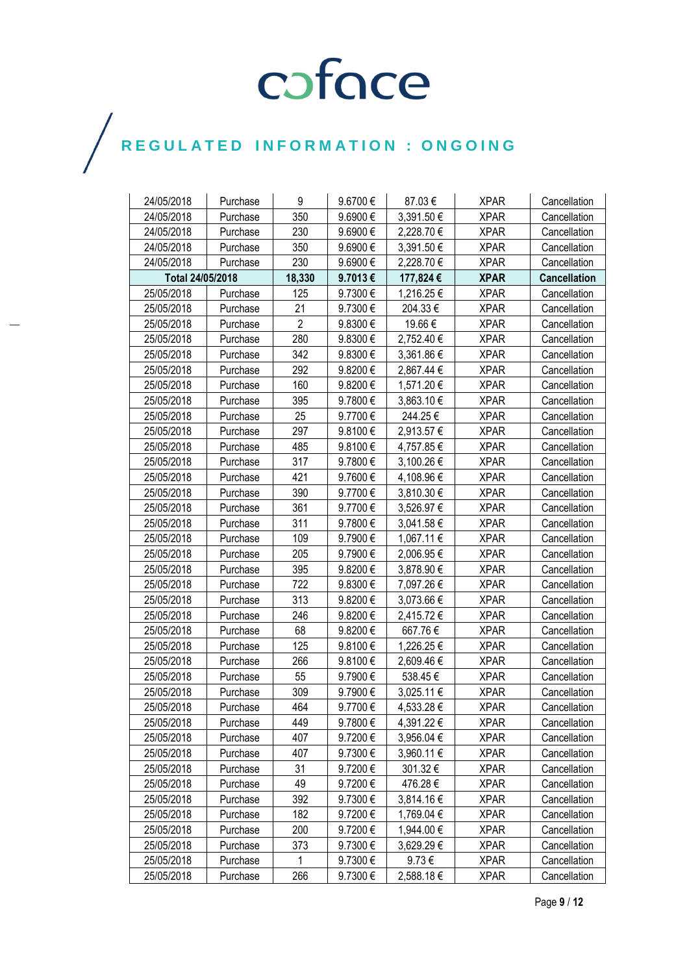| 24/05/2018       | Purchase | 9              | 9.6700€ | 87.03€     | <b>XPAR</b> | Cancellation        |
|------------------|----------|----------------|---------|------------|-------------|---------------------|
| 24/05/2018       | Purchase | 350            | 9.6900€ | 3,391.50€  | <b>XPAR</b> | Cancellation        |
| 24/05/2018       | Purchase | 230            | 9.6900€ | 2,228.70 € | <b>XPAR</b> | Cancellation        |
| 24/05/2018       | Purchase | 350            | 9.6900€ | 3,391.50 € | <b>XPAR</b> | Cancellation        |
| 24/05/2018       | Purchase | 230            | 9.6900€ | 2,228.70€  | <b>XPAR</b> | Cancellation        |
| Total 24/05/2018 |          | 18,330         | 9.7013€ | 177,824 €  | <b>XPAR</b> | <b>Cancellation</b> |
| 25/05/2018       | Purchase | 125            | 9.7300€ | 1,216.25 € | <b>XPAR</b> | Cancellation        |
| 25/05/2018       | Purchase | 21             | 9.7300€ | 204.33€    | <b>XPAR</b> | Cancellation        |
| 25/05/2018       | Purchase | $\overline{2}$ | 9.8300€ | 19.66€     | <b>XPAR</b> | Cancellation        |
| 25/05/2018       | Purchase | 280            | 9.8300€ | 2,752.40 € | <b>XPAR</b> | Cancellation        |
| 25/05/2018       | Purchase | 342            | 9.8300€ | 3,361.86 € | <b>XPAR</b> | Cancellation        |
| 25/05/2018       | Purchase | 292            | 9.8200€ | 2,867.44 € | <b>XPAR</b> | Cancellation        |
| 25/05/2018       | Purchase | 160            | 9.8200€ | 1,571.20 € | <b>XPAR</b> | Cancellation        |
| 25/05/2018       | Purchase | 395            | 9.7800€ | 3,863.10 € | <b>XPAR</b> | Cancellation        |
| 25/05/2018       | Purchase | 25             | 9.7700€ | 244.25€    | <b>XPAR</b> | Cancellation        |
| 25/05/2018       | Purchase | 297            | 9.8100€ | 2,913.57 € | <b>XPAR</b> | Cancellation        |
| 25/05/2018       | Purchase | 485            | 9.8100€ | 4,757.85€  | <b>XPAR</b> | Cancellation        |
| 25/05/2018       | Purchase | 317            | 9.7800€ | 3,100.26 € | <b>XPAR</b> | Cancellation        |
| 25/05/2018       | Purchase | 421            | 9.7600€ | 4,108.96 € | <b>XPAR</b> | Cancellation        |
| 25/05/2018       | Purchase | 390            | 9.7700€ | 3,810.30 € | <b>XPAR</b> | Cancellation        |
| 25/05/2018       | Purchase | 361            | 9.7700€ | 3,526.97 € | <b>XPAR</b> | Cancellation        |
| 25/05/2018       | Purchase | 311            | 9.7800€ | 3,041.58 € | <b>XPAR</b> | Cancellation        |
| 25/05/2018       | Purchase | 109            | 9.7900€ | 1,067.11 € | <b>XPAR</b> | Cancellation        |
| 25/05/2018       | Purchase | 205            | 9.7900€ | 2,006.95€  | <b>XPAR</b> | Cancellation        |
| 25/05/2018       | Purchase | 395            | 9.8200€ | 3,878.90 € | <b>XPAR</b> | Cancellation        |
| 25/05/2018       | Purchase | 722            | 9.8300€ | 7,097.26 € | <b>XPAR</b> | Cancellation        |
| 25/05/2018       | Purchase | 313            | 9.8200€ | 3,073.66 € | <b>XPAR</b> | Cancellation        |
| 25/05/2018       | Purchase | 246            | 9.8200€ | 2,415.72 € | <b>XPAR</b> | Cancellation        |
| 25/05/2018       | Purchase | 68             | 9.8200€ | 667.76€    | <b>XPAR</b> | Cancellation        |
| 25/05/2018       | Purchase | 125            | 9.8100€ | 1,226.25 € | <b>XPAR</b> | Cancellation        |
| 25/05/2018       | Purchase | 266            | 9.8100€ | 2,609.46 € | <b>XPAR</b> | Cancellation        |
| 25/05/2018       | Purchase | 55             | 9.7900€ | 538.45€    | <b>XPAR</b> | Cancellation        |
| 25/05/2018       | Purchase | 309            | 9.7900€ | 3,025.11 € | <b>XPAR</b> | Cancellation        |
| 25/05/2018       | Purchase | 464            | 9.7700€ | 4,533.28 € | <b>XPAR</b> | Cancellation        |
| 25/05/2018       | Purchase | 449            | 9.7800€ | 4,391.22 € | <b>XPAR</b> | Cancellation        |
| 25/05/2018       | Purchase | 407            | 9.7200€ | 3,956.04 € | <b>XPAR</b> | Cancellation        |
| 25/05/2018       | Purchase | 407            | 9.7300€ | 3,960.11 € | <b>XPAR</b> | Cancellation        |
| 25/05/2018       | Purchase | 31             | 9.7200€ | 301.32€    | <b>XPAR</b> | Cancellation        |
| 25/05/2018       | Purchase | 49             | 9.7200€ | 476.28€    | <b>XPAR</b> | Cancellation        |
| 25/05/2018       | Purchase | 392            | 9.7300€ | 3,814.16€  | <b>XPAR</b> | Cancellation        |
| 25/05/2018       | Purchase | 182            | 9.7200€ | 1,769.04 € | <b>XPAR</b> | Cancellation        |
| 25/05/2018       | Purchase | 200            | 9.7200€ | 1,944.00 € | <b>XPAR</b> | Cancellation        |
| 25/05/2018       | Purchase | 373            | 9.7300€ | 3,629.29 € | <b>XPAR</b> | Cancellation        |
| 25/05/2018       | Purchase | 1              | 9.7300€ | $9.73 \in$ | <b>XPAR</b> | Cancellation        |
| 25/05/2018       | Purchase | 266            | 9.7300€ | 2,588.18€  | <b>XPAR</b> | Cancellation        |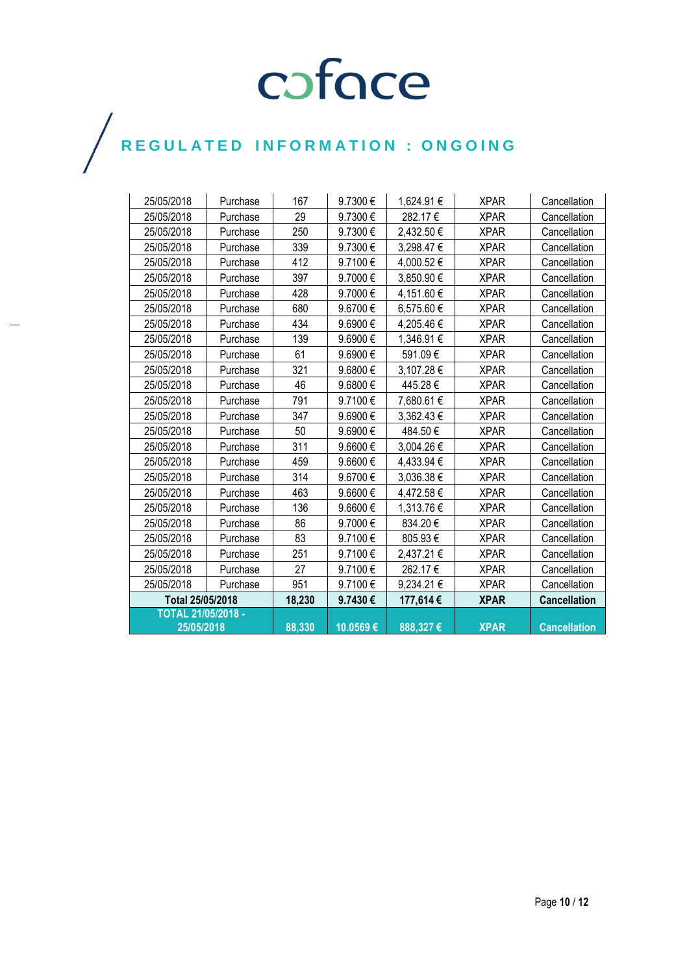| 25/05/2018                              | Purchase | 167    | 9.7300€           | 1,624.91 € | <b>XPAR</b> | Cancellation        |
|-----------------------------------------|----------|--------|-------------------|------------|-------------|---------------------|
| 25/05/2018                              | Purchase | 29     | 9.7300€           | 282.17€    | <b>XPAR</b> | Cancellation        |
| 25/05/2018                              | Purchase | 250    | 9.7300 $\epsilon$ | 2,432.50 € | <b>XPAR</b> | Cancellation        |
| 25/05/2018                              | Purchase | 339    | 9.7300€           | 3,298.47 € | <b>XPAR</b> | Cancellation        |
| 25/05/2018                              | Purchase | 412    | 9.7100€           | 4,000.52€  | <b>XPAR</b> | Cancellation        |
| 25/05/2018                              | Purchase | 397    | 9.7000€           | 3,850.90€  | <b>XPAR</b> | Cancellation        |
| 25/05/2018                              | Purchase | 428    | 9.7000€           | 4,151.60 € | <b>XPAR</b> | Cancellation        |
| 25/05/2018                              | Purchase | 680    | 9.6700€           | 6,575.60 € | <b>XPAR</b> | Cancellation        |
| 25/05/2018                              | Purchase | 434    | 9.6900€           | 4,205.46 € | <b>XPAR</b> | Cancellation        |
| 25/05/2018                              | Purchase | 139    | 9.6900€           | 1,346.91 € | <b>XPAR</b> | Cancellation        |
| 25/05/2018                              | Purchase | 61     | 9.6900€           | 591.09€    | <b>XPAR</b> | Cancellation        |
| 25/05/2018                              | Purchase | 321    | 9.6800€           | 3,107.28 € | <b>XPAR</b> | Cancellation        |
| 25/05/2018                              | Purchase | 46     | 9.6800€           | 445.28€    | <b>XPAR</b> | Cancellation        |
| 25/05/2018                              | Purchase | 791    | 9.7100€           | 7,680.61 € | <b>XPAR</b> | Cancellation        |
| 25/05/2018                              | Purchase | 347    | 9.6900€           | 3,362.43 € | <b>XPAR</b> | Cancellation        |
| 25/05/2018                              | Purchase | 50     | 9.6900€           | 484.50€    | <b>XPAR</b> | Cancellation        |
| 25/05/2018                              | Purchase | 311    | $9.6600 \in$      | 3,004.26 € | <b>XPAR</b> | Cancellation        |
| 25/05/2018                              | Purchase | 459    | 9.6600€           | 4,433.94 € | <b>XPAR</b> | Cancellation        |
| 25/05/2018                              | Purchase | 314    | 9.6700€           | 3,036.38 € | <b>XPAR</b> | Cancellation        |
| 25/05/2018                              | Purchase | 463    | 9.6600€           | 4,472.58€  | <b>XPAR</b> | Cancellation        |
| 25/05/2018                              | Purchase | 136    | 9.6600€           | 1,313.76 € | <b>XPAR</b> | Cancellation        |
| 25/05/2018                              | Purchase | 86     | 9.7000€           | 834.20€    | <b>XPAR</b> | Cancellation        |
| 25/05/2018                              | Purchase | 83     | 9.7100€           | 805.93€    | <b>XPAR</b> | Cancellation        |
| 25/05/2018                              | Purchase | 251    | 9.7100€           | 2,437.21 € | <b>XPAR</b> | Cancellation        |
| 25/05/2018                              | Purchase | 27     | 9.7100€           | 262.17€    | <b>XPAR</b> | Cancellation        |
| 25/05/2018                              | Purchase | 951    | 9.7100€           | 9,234.21€  | <b>XPAR</b> | Cancellation        |
| Total 25/05/2018                        |          | 18,230 | 9.7430€           | 177,614€   | <b>XPAR</b> | <b>Cancellation</b> |
| <b>TOTAL 21/05/2018 -</b><br>25/05/2018 |          | 88,330 | 10.0569€          | 888,327€   | <b>XPAR</b> | <b>Cancellation</b> |